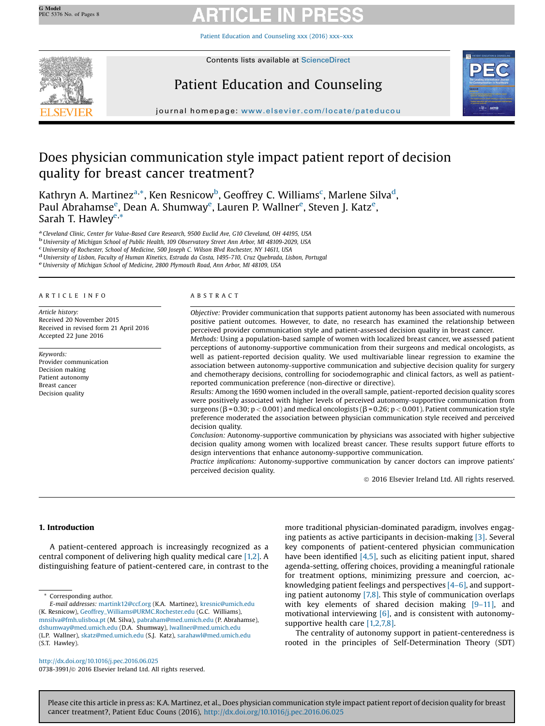Patient Education and [Counseling](http://dx.doi.org/10.1016/j.pec.2016.06.025) xxx (2016) xxx–xxx



Contents lists available at [ScienceDirect](http://www.sciencedirect.com/science/journal/07383991)

# Patient Education and Counseling



journal homepage: <www.elsevier.com/locate/pateducou>

# Does physician communication style impact patient report of decision quality for breast cancer treatment?

Kathryn A. Martinez<sup>a,\*</sup>, Ken Resnicow<sup>b</sup>, Geoffrey C. Williams<sup>c</sup>, Marlene Silva<sup>d</sup>, Paul Abrahamse<sup>e</sup>, Dean A. Shumway<sup>e</sup>, Lauren P. Wallner<sup>e</sup>, Steven J. Katz<sup>e</sup>, Sarah T. Hawley<sup>e,\*</sup>

<sup>a</sup> Cleveland Clinic, Center for Value-Based Care Research, 9500 Euclid Ave, G10 Cleveland, OH 44195, USA bUniversity of Michigan School of Public Health, 109 Observatory Street Ann Arbor, MI 48109-2029, USA Cliniversity

<sup>d</sup> University of Lisbon, Faculty of Human Kinetics, Estrada da Costa, 1495-710, Cruz Quebrada, Lisbon, Portugal<br><sup>e</sup> University of Michigan School of Medicine, 2800 Plymouth Road, Ann Arbor, MI 48109, USA

### A R T I C L E I N F O

Article history: Received 20 November 2015 Received in revised form 21 April 2016 Accepted 22 June 2016

Keywords: Provider communication Decision making Patient autonomy Breast cancer Decision quality

### A B S T R A C T

Objective: Provider communication that supports patient autonomy has been associated with numerous positive patient outcomes. However, to date, no research has examined the relationship between perceived provider communication style and patient-assessed decision quality in breast cancer. Methods: Using a population-based sample of women with localized breast cancer, we assessed patient perceptions of autonomy-supportive communication from their surgeons and medical oncologists, as well as patient-reported decision quality. We used multivariable linear regression to examine the association between autonomy-supportive communication and subjective decision quality for surgery and chemotherapy decisions, controlling for sociodemographic and clinical factors, as well as patientreported communication preference (non-directive or directive).

Results: Among the 1690 women included in the overall sample, patient-reported decision quality scores were positively associated with higher levels of perceived autonomy-supportive communication from surgeons ( $\beta$  = 0.30; p < 0.001) and medical oncologists ( $\beta$  = 0.26; p < 0.001). Patient communication style preference moderated the association between physician communication style received and perceived decision quality.

Conclusion: Autonomy-supportive communication by physicians was associated with higher subjective decision quality among women with localized breast cancer. These results support future efforts to design interventions that enhance autonomy-supportive communication.

Practice implications: Autonomy-supportive communication by cancer doctors can improve patients' perceived decision quality.

 $©$  2016 Elsevier Ireland Ltd. All rights reserved.

# 1. Introduction

A patient-centered approach is increasingly recognized as a central component of delivering high quality medical care [\[1,2\].](#page-6-0) A distinguishing feature of patient-centered care, in contrast to the

Corresponding author.

E-mail addresses: [martink12@ccf.org](mailto:martink12@ccf.org) (K.A. Martinez), [kresnic@umich.edu](mailto:kresnic@umich.edu) (K. Resnicow), [Geoffrey\\_Williams@URMC.Rochester.edu](mailto:Geoffrey_Williams@URMC.Rochester.edu) (G.C. Williams), [mnsilva@fmh.ulisboa.pt](mailto:mnsilva@fmh.ulisboa.pt) (M. Silva), [pabraham@med.umich.edu](mailto:pabraham@med.umich.edu) (P. Abrahamse), [dshumway@med.umich.edu](mailto:dshumway@med.umich.edu) (D.A. Shumway), [lwallner@med.umich.edu](mailto:lwallner@med.umich.edu) (L.P. Wallner), [skatz@med.umich.edu](mailto:skatz@med.umich.edu) (S.J. Katz), [sarahawl@med.umich.edu](mailto:sarahawl@med.umich.edu) (S.T. Hawley).

more traditional physician-dominated paradigm, involves engaging patients as active participants in decision-making [\[3\]](#page-6-0). Several key components of patient-centered physician communication have been identified  $[4,5]$ , such as eliciting patient input, shared agenda-setting, offering choices, providing a meaningful rationale for treatment options, minimizing pressure and coercion, acknowledging patient feelings and perspectives [\[4](#page-6-0)–6], and supporting patient autonomy  $[7,8]$ . This style of communication overlaps with key elements of shared decision making [9-[11\],](#page-6-0) and motivational interviewing [\[6\],](#page-6-0) and is consistent with autonomy-supportive health care [\[1,2,7,8\].](#page-6-0)

The centrality of autonomy support in patient-centeredness is rooted in the principles of Self-Determination Theory (SDT)

<http://dx.doi.org/10.1016/j.pec.2016.06.025> 0738-3991/@ 2016 Elsevier Ireland Ltd. All rights reserved.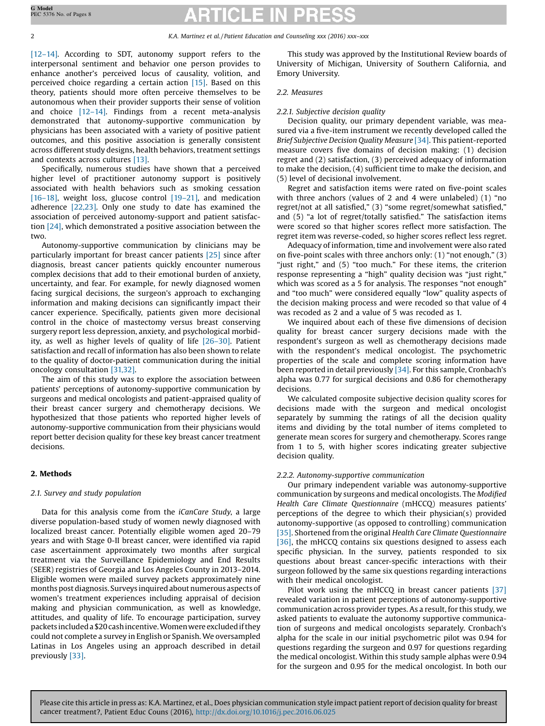[12–[14\].](#page-6-0) According to SDT, autonomy support refers to the interpersonal sentiment and behavior one person provides to enhance another's perceived locus of causality, volition, and perceived choice regarding a certain action [\[15\].](#page-6-0) Based on this theory, patients should more often perceive themselves to be autonomous when their provider supports their sense of volition and choice [12–[14\].](#page-6-0) Findings from a recent meta-analysis demonstrated that autonomy-supportive communication by physicians has been associated with a variety of positive patient outcomes, and this positive association is generally consistent across different study designs, health behaviors, treatment settings and contexts across cultures [\[13\]](#page-6-0).

Specifically, numerous studies have shown that a perceived higher level of practitioner autonomy support is positively associated with health behaviors such as smoking cessation [16–[18\],](#page-6-0) weight loss, glucose control [19–[21\]](#page-6-0), and medication adherence [\[22,23\]](#page-6-0). Only one study to date has examined the association of perceived autonomy-support and patient satisfaction [\[24\]](#page-6-0), which demonstrated a positive association between the two.

Autonomy-supportive communication by clinicians may be particularly important for breast cancer patients [\[25\]](#page-6-0) since after diagnosis, breast cancer patients quickly encounter numerous complex decisions that add to their emotional burden of anxiety, uncertainty, and fear. For example, for newly diagnosed women facing surgical decisions, the surgeon's approach to exchanging information and making decisions can significantly impact their cancer experience. Specifically, patients given more decisional control in the choice of mastectomy versus breast conserving surgery report less depression, anxiety, and psychological morbidity, as well as higher levels of quality of life [\[26](#page-6-0)–30]. Patient satisfaction and recall of information has also been shown to relate to the quality of doctor-patient communication during the initial oncology consultation [\[31,32\]](#page-6-0).

The aim of this study was to explore the association between patients' perceptions of autonomy-supportive communication by surgeons and medical oncologists and patient-appraised quality of their breast cancer surgery and chemotherapy decisions. We hypothesized that those patients who reported higher levels of autonomy-supportive communication from their physicians would report better decision quality for these key breast cancer treatment decisions.

# 2. Methods

## 2.1. Survey and study population

Data for this analysis come from the iCanCare Study, a large diverse population-based study of women newly diagnosed with localized breast cancer. Potentially eligible women aged 20–79 years and with Stage 0-II breast cancer, were identified via rapid case ascertainment approximately two months after surgical treatment via the Surveillance Epidemiology and End Results (SEER) registries of Georgia and Los Angeles County in 2013–2014. Eligible women were mailed survey packets approximately nine months post diagnosis. Surveys inquired about numerous aspects of women's treatment experiences including appraisal of decision making and physician communication, as well as knowledge, attitudes, and quality of life. To encourage participation, survey packets includeda \$20cashincentive.Womenwere excludedifthey could not complete a survey in English or Spanish. We oversampled Latinas in Los Angeles using an approach described in detail previously [\[33\]](#page-6-0).

This study was approved by the Institutional Review boards of University of Michigan, University of Southern California, and Emory University.

### 2.2. Measures

### 2.2.1. Subjective decision quality

Decision quality, our primary dependent variable, was measured via a five-item instrument we recently developed called the Brief Subjective Decision Quality Measure [\[34\]](#page-6-0). This patient-reported measure covers five domains of decision making: (1) decision regret and (2) satisfaction, (3) perceived adequacy of information to make the decision, (4) sufficient time to make the decision, and (5) level of decisional involvement.

Regret and satisfaction items were rated on five-point scales with three anchors (values of 2 and 4 were unlabeled) (1) "no regret/not at all satisfied," (3) "some regret/somewhat satisfied," and (5) "a lot of regret/totally satisfied." The satisfaction items were scored so that higher scores reflect more satisfaction. The regret item was reverse-coded, so higher scores reflect less regret.

Adequacy of information, time and involvement were also rated on five-point scales with three anchors only: (1) "not enough," (3) "just right," and (5) "too much." For these items, the criterion response representing a "high" quality decision was "just right," which was scored as a 5 for analysis. The responses "not enough" and "too much" were considered equally "low" quality aspects of the decision making process and were recoded so that value of 4 was recoded as 2 and a value of 5 was recoded as 1.

We inquired about each of these five dimensions of decision quality for breast cancer surgery decisions made with the respondent's surgeon as well as chemotherapy decisions made with the respondent's medical oncologist. The psychometric properties of the scale and complete scoring information have been reported in detail previously [\[34\]](#page-6-0). For this sample, Cronbach's alpha was 0.77 for surgical decisions and 0.86 for chemotherapy decisions.

We calculated composite subjective decision quality scores for decisions made with the surgeon and medical oncologist separately by summing the ratings of all the decision quality items and dividing by the total number of items completed to generate mean scores for surgery and chemotherapy. Scores range from 1 to 5, with higher scores indicating greater subjective decision quality.

## 2.2.2. Autonomy-supportive communication

Our primary independent variable was autonomy-supportive communication by surgeons and medical oncologists. The Modified Health Care Climate Questionnaire (mHCCQ) measures patients' perceptions of the degree to which their physician(s) provided autonomy-supportive (as opposed to controlling) communication [\[35\]](#page-6-0). Shortened from the original Health Care Climate Questionnaire [\[36\]](#page-6-0), the mHCCQ contains six questions designed to assess each specific physician. In the survey, patients responded to six questions about breast cancer-specific interactions with their surgeon followed by the same six questions regarding interactions with their medical oncologist.

Pilot work using the mHCCQ in breast cancer patients [\[37\]](#page-6-0) revealed variation in patient perceptions of autonomy-supportive communication across provider types. As a result, for this study, we asked patients to evaluate the autonomy supportive communication of surgeons and medical oncologists separately. Cronbach's alpha for the scale in our initial psychometric pilot was 0.94 for questions regarding the surgeon and 0.97 for questions regarding the medical oncologist. Within this study sample alphas were 0.94 for the surgeon and 0.95 for the medical oncologist. In both our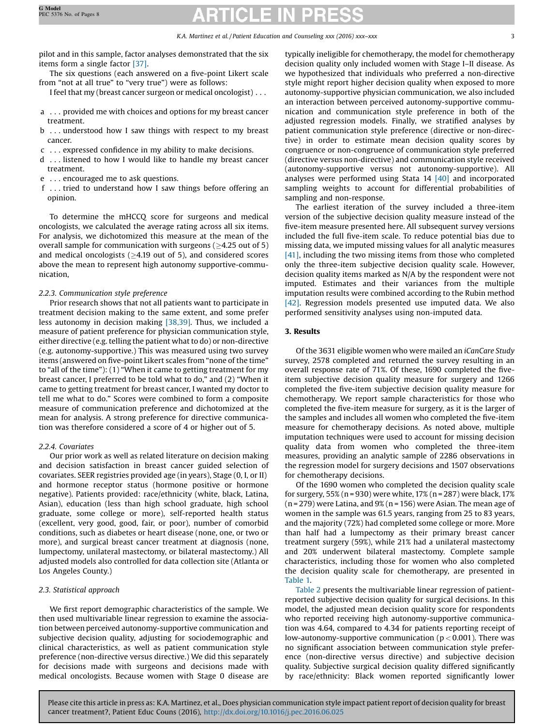pilot and in this sample, factor analyses demonstrated that the six items form a single factor [\[37\]](#page-6-0).

The six questions (each answered on a five-point Likert scale from "not at all true" to "very true") were as follows:

I feel that my (breast cancer surgeon or medical oncologist) . . .

- a . . . provided me with choices and options for my breast cancer treatment.
- b . . . understood how I saw things with respect to my breast cancer.
- c . . . expressed confidence in my ability to make decisions.
- d . . . listened to how I would like to handle my breast cancer treatment.
- e . . . encouraged me to ask questions.
- f . . . tried to understand how I saw things before offering an opinion.

To determine the mHCCQ score for surgeons and medical oncologists, we calculated the average rating across all six items. For analysis, we dichotomized this measure at the mean of the overall sample for communication with surgeons ( $\geq$ 4.25 out of 5) and medical oncologists ( $\geq$ 4.19 out of 5), and considered scores above the mean to represent high autonomy supportive-communication,

# 2.2.3. Communication style preference

Prior research shows that not all patients want to participate in treatment decision making to the same extent, and some prefer less autonomy in decision making [\[38,39\]](#page-6-0). Thus, we included a measure of patient preference for physician communication style, either directive (e.g. telling the patient what to do) or non-directive (e.g. autonomy-supportive.) This was measured using two survey items (answered on five-point Likert scales from "none of the time" to "all of the time"): (1) "When it came to getting treatment for my breast cancer, I preferred to be told what to do," and (2) "When it came to getting treatment for breast cancer, I wanted my doctor to tell me what to do." Scores were combined to form a composite measure of communication preference and dichotomized at the mean for analysis. A strong preference for directive communication was therefore considered a score of 4 or higher out of 5.

# 2.2.4. Covariates

Our prior work as well as related literature on decision making and decision satisfaction in breast cancer guided selection of covariates. SEER registries provided age (in years), Stage (0, I, or II) and hormone receptor status (hormone positive or hormone negative). Patients provided: race/ethnicity (white, black, Latina, Asian), education (less than high school graduate, high school graduate, some college or more), self-reported health status (excellent, very good, good, fair, or poor), number of comorbid conditions, such as diabetes or heart disease (none, one, or two or more), and surgical breast cancer treatment at diagnosis (none, lumpectomy, unilateral mastectomy, or bilateral mastectomy.) All adjusted models also controlled for data collection site (Atlanta or Los Angeles County.)

# 2.3. Statistical approach

We first report demographic characteristics of the sample. We then used multivariable linear regression to examine the association between perceived autonomy-supportive communication and subjective decision quality, adjusting for sociodemographic and clinical characteristics, as well as patient communication style preference (non-directive versus directive.) We did this separately for decisions made with surgeons and decisions made with medical oncologists. Because women with Stage 0 disease are typically ineligible for chemotherapy, the model for chemotherapy decision quality only included women with Stage I–II disease. As we hypothesized that individuals who preferred a non-directive style might report higher decision quality when exposed to more autonomy-supportive physician communication, we also included an interaction between perceived autonomy-supportive communication and communication style preference in both of the adjusted regression models. Finally, we stratified analyses by patient communication style preference (directive or non-directive) in order to estimate mean decision quality scores by congruence or non-congruence of communication style preferred (directive versus non-directive) and communication style received (autonomy-supportive versus not autonomy-supportive). All analyses were performed using Stata 14 [\[40\]](#page-6-0) and incorporated sampling weights to account for differential probabilities of sampling and non-response.

The earliest iteration of the survey included a three-item version of the subjective decision quality measure instead of the five-item measure presented here. All subsequent survey versions included the full five-item scale. To reduce potential bias due to missing data, we imputed missing values for all analytic measures [\[41\],](#page-6-0) including the two missing items from those who completed only the three-item subjective decision quality scale. However, decision quality items marked as N/A by the respondent were not imputed. Estimates and their variances from the multiple imputation results were combined according to the Rubin method [\[42\]](#page-6-0). Regression models presented use imputed data. We also performed sensitivity analyses using non-imputed data.

# 3. Results

Of the 3631 eligible women who were mailed an iCanCare Study survey, 2578 completed and returned the survey resulting in an overall response rate of 71%. Of these, 1690 completed the fiveitem subjective decision quality measure for surgery and 1266 completed the five-item subjective decision quality measure for chemotherapy. We report sample characteristics for those who completed the five-item measure for surgery, as it is the larger of the samples and includes all women who completed the five-item measure for chemotherapy decisions. As noted above, multiple imputation techniques were used to account for missing decision quality data from women who completed the three-item measures, providing an analytic sample of 2286 observations in the regression model for surgery decisions and 1507 observations for chemotherapy decisions.

Of the 1690 women who completed the decision quality scale for surgery, 55% (n = 930) were white,  $17%$  (n = 287) were black,  $17%$  $(n = 279)$  were Latina, and  $9\%$   $(n = 156)$  were Asian. The mean age of women in the sample was 61.5 years, ranging from 25 to 83 years, and the majority (72%) had completed some college or more. More than half had a lumpectomy as their primary breast cancer treatment surgery (59%), while 21% had a unilateral mastectomy and 20% underwent bilateral mastectomy. Complete sample characteristics, including those for women who also completed the decision quality scale for chemotherapy, are presented in [Table](#page-3-0) 1.

[Table](#page-4-0) 2 presents the multivariable linear regression of patientreported subjective decision quality for surgical decisions. In this model, the adjusted mean decision quality score for respondents who reported receiving high autonomy-supportive communication was 4.64, compared to 4.34 for patients reporting receipt of low-autonomy-supportive communication ( $p < 0.001$ ). There was no significant association between communication style preference (non-directive versus directive) and subjective decision quality. Subjective surgical decision quality differed significantly by race/ethnicity: Black women reported significantly lower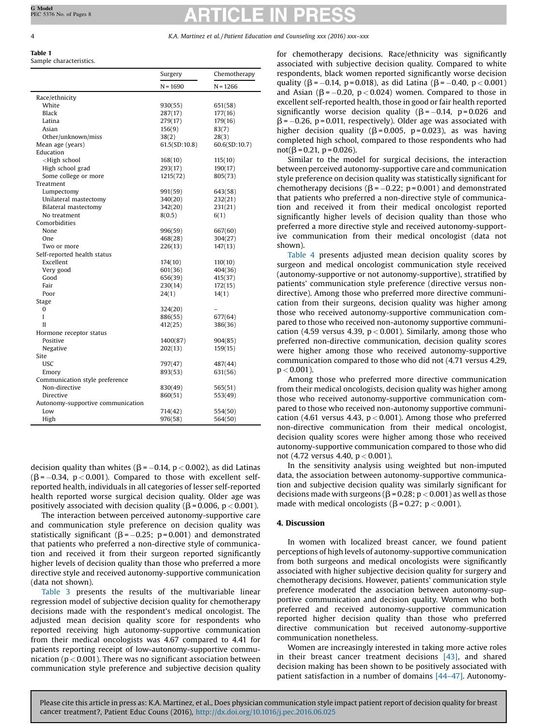<span id="page-3-0"></span>Table 1 Sample characteristics.

|                                                                | Surgery       | Chemotherapy  |
|----------------------------------------------------------------|---------------|---------------|
|                                                                | $N = 1690$    | $N = 1266$    |
| Race/ethnicity                                                 |               |               |
| White                                                          | 930(55)       | 651(58)       |
| <b>Black</b>                                                   | 287(17)       | 177(16)       |
| Latina                                                         | 279(17)       | 179(16)       |
| Asian                                                          | 156(9)        | 83(7)         |
| Other/unknown/miss                                             | 38(2)         | 28(3)         |
| Mean age (years)                                               | 61.5(SD:10.8) | 60.6(SD:10.7) |
| Education                                                      |               |               |
| <high school<="" td=""><td>168(10)</td><td>115(10)</td></high> | 168(10)       | 115(10)       |
| High school grad                                               | 293(17)       | 190(17)       |
| Some college or more                                           | 1215(72)      | 805(73)       |
| Treatment                                                      |               |               |
| Lumpectomy                                                     | 991(59)       | 643(58)       |
| Unilateral mastectomy                                          | 340(20)       | 232(21)       |
| Bilateral mastectomy                                           | 342(20)       | 231(21)       |
| No treatment                                                   | 8(0.5)        | 6(1)          |
| Comorbidities                                                  |               |               |
| None                                                           | 996(59)       | 667(60)       |
| One                                                            | 468(28)       | 304(27)       |
| Two or more                                                    | 226(13)       | 147(13)       |
| Self-reported health status                                    |               |               |
| Excellent                                                      | 174(10)       | 110(10)       |
| Very good                                                      | 601(36)       | 404(36)       |
| Good                                                           | 656(39)       | 415(37)       |
| Fair                                                           | 230(14)       | 172(15)       |
| Poor                                                           | 24(1)         | 14(1)         |
| Stage                                                          |               |               |
| 0                                                              | 324(20)       |               |
| I                                                              | 886(55)       | 677(64)       |
| Н                                                              | 412(25)       | 386(36)       |
| Hormone receptor status                                        |               |               |
| Positive                                                       | 1400(87)      | 904(85)       |
| Negative                                                       | 202(13)       | 159(15)       |
| Site                                                           |               |               |
| <b>USC</b>                                                     | 797(47)       | 487(44)       |
| Emory                                                          | 893(53)       | 631(56)       |
| Communication style preference                                 |               |               |
| Non-directive                                                  | 830(49)       | 565(51)       |
| Directive                                                      | 860(51)       | 553(49)       |
| Autonomy-supportive communication                              |               |               |
| Low                                                            | 714(42)       | 554(50)       |
| High                                                           | 976(58)       | 564(50)       |

decision quality than whites ( $\beta$  = -0.14, p < 0.002), as did Latinas  $(\beta = -0.34, p < 0.001)$ . Compared to those with excellent selfreported health, individuals in all categories of lesser self-reported health reported worse surgical decision quality. Older age was positively associated with decision quality ( $\beta$  = 0.006, p < 0.001).

The interaction between perceived autonomy-supportive care and communication style preference on decision quality was statistically significant ( $\beta$  = -0.25; p = 0.001) and demonstrated that patients who preferred a non-directive style of communication and received it from their surgeon reported significantly higher levels of decision quality than those who preferred a more directive style and received autonomy-supportive communication (data not shown).

[Table](#page-5-0) 3 presents the results of the multivariable linear regression model of subjective decision quality for chemotherapy decisions made with the respondent's medical oncologist. The adjusted mean decision quality score for respondents who reported receiving high autonomy-supportive communication from their medical oncologists was 4.67 compared to 4.41 for patients reporting receipt of low-autonomy-supportive communication ( $p < 0.001$ ). There was no significant association between communication style preference and subjective decision quality for chemotherapy decisions. Race/ethnicity was significantly associated with subjective decision quality. Compared to white respondents, black women reported significantly worse decision quality ( $\beta$  = -0.14, p = 0.018), as did Latina ( $\beta$  = -0.40, p < 0.001) and Asian ( $\beta$  = -0.20, p < 0.024) women. Compared to those in excellent self-reported health, those in good or fair health reported significantly worse decision quality ( $\beta$  = -0.14, p = 0.026 and  $\beta$  = -0.26, p = 0.011, respectively). Older age was associated with higher decision quality ( $\beta$  = 0.005, p = 0.023), as was having completed high school, compared to those respondents who had not( $\beta$  = 0.21, p = 0.026).

Similar to the model for surgical decisions, the interaction between perceived autonomy-supportive care and communication style preference on decision quality was statistically significant for chemotherapy decisions ( $\beta$  = -0.22; p = 0.001) and demonstrated that patients who preferred a non-directive style of communication and received it from their medical oncologist reported significantly higher levels of decision quality than those who preferred a more directive style and received autonomy-supportive communication from their medical oncologist (data not shown).

[Table](#page-5-0) 4 presents adjusted mean decision quality scores by surgeon and medical oncologist communication style received (autonomy-supportive or not autonomy-supportive), stratified by patients' communication style preference (directive versus nondirective). Among those who preferred more directive communication from their surgeons, decision quality was higher among those who received autonomy-supportive communication compared to those who received non-autonomy supportive communication (4.59 versus 4.39,  $p < 0.001$ ). Similarly, among those who preferred non-directive communication, decision quality scores were higher among those who received autonomy-supportive communication compared to those who did not (4.71 versus 4.29,  $p < 0.001$ ).

Among those who preferred more directive communication from their medical oncologists, decision quality was higher among those who received autonomy-supportive communication compared to those who received non-autonomy supportive communication (4.61 versus 4.43,  $p < 0.001$ ). Among those who preferred non-directive communication from their medical oncologist, decision quality scores were higher among those who received autonomy-supportive communication compared to those who did not (4.72 versus 4.40, p < 0.001).

In the sensitivity analysis using weighted but non-imputed data, the association between autonomy-supportive communication and subjective decision quality was similarly significant for decisions made with surgeons ( $\beta$  = 0.28; p < 0.001) as well as those made with medical oncologists ( $\beta$  = 0.27; p < 0.001).

## 4. Discussion

In women with localized breast cancer, we found patient perceptions of high levels of autonomy-supportive communication from both surgeons and medical oncologists were significantly associated with higher subjective decision quality for surgery and chemotherapy decisions. However, patients' communication style preference moderated the association between autonomy-supportive communication and decision quality. Women who both preferred and received autonomy-supportive communication reported higher decision quality than those who preferred directive communication but received autonomy-supportive communication nonetheless.

Women are increasingly interested in taking more active roles in their breast cancer treatment decisions [\[43\]](#page-6-0), and shared decision making has been shown to be positively associated with patient satisfaction in a number of domains [\[44](#page-6-0)–47]. Autonomy-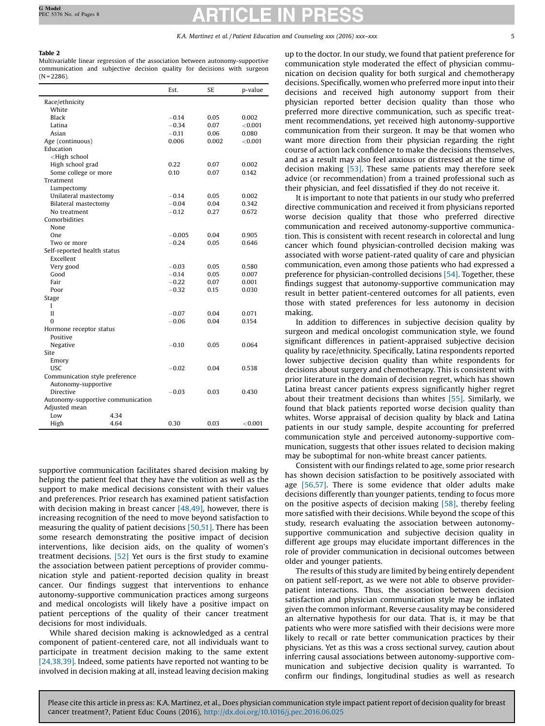# <span id="page-4-0"></span>Table 2

Multivariable linear regression of the association between autonomy-supportive communication and subjective decision quality for decisions with surgeon  $(N = 2286)$ .

|                                                                    |      | Est.     | SE.   | p-value        |
|--------------------------------------------------------------------|------|----------|-------|----------------|
| Race/ethnicity                                                     |      |          |       |                |
| White                                                              |      |          |       |                |
| Black                                                              |      | $-0.14$  | 0.05  | 0.002          |
| Latina                                                             |      | $-0.34$  | 0.07  | $<$ 0.001 $\,$ |
| Asian                                                              |      | $-0.11$  | 0.06  | 0.080          |
| Age (continuous)                                                   |      | 0.006    | 0.002 | $<$ 0.001 $\,$ |
| Education                                                          |      |          |       |                |
| <high school<="" td=""><td></td><td></td><td></td><td></td></high> |      |          |       |                |
| High school grad                                                   |      | 0.22     | 0.07  | 0.002          |
| Some college or more                                               |      | 0.10     | 0.07  | 0.142          |
| Treatment                                                          |      |          |       |                |
| Lumpectomy                                                         |      |          |       |                |
| Unilateral mastectomy                                              |      | $-0.14$  | 0.05  | 0.002          |
| Bilateral mastectomy                                               |      | $-0.04$  | 0.04  | 0.342          |
| No treatment                                                       |      | $-0.12$  | 0.27  | 0.672          |
| Comorbidities                                                      |      |          |       |                |
| None                                                               |      |          |       |                |
| One                                                                |      | $-0.005$ | 0.04  | 0.905          |
| Two or more                                                        |      | $-0.24$  | 0.05  | 0.646          |
| Self-reported health status                                        |      |          |       |                |
| Excellent                                                          |      |          |       |                |
| Very good                                                          |      | $-0.03$  | 0.05  | 0.580          |
| Good                                                               |      | $-0.14$  | 0.05  | 0.007          |
| Fair                                                               |      | $-0.22$  | 0.07  | 0.001          |
| Poor                                                               |      | $-0.32$  | 0.15  | 0.030          |
| Stage                                                              |      |          |       |                |
| I                                                                  |      |          |       |                |
| $\mathbf{I}$                                                       |      | $-0.07$  | 0.04  | 0.071          |
| 0                                                                  |      | $-0.06$  | 0.04  | 0.154          |
| Hormone receptor status                                            |      |          |       |                |
| Positive                                                           |      |          |       |                |
| Negative                                                           |      | $-0.10$  | 0.05  | 0.064          |
| Site                                                               |      |          |       |                |
| Emory                                                              |      |          |       |                |
| USC                                                                |      | $-0.02$  | 0.04  | 0.538          |
| Communication style preference                                     |      |          |       |                |
| Autonomy-supportive                                                |      |          |       |                |
| <b>Directive</b>                                                   |      | $-0.03$  | 0.03  | 0.430          |
| Autonomy-supportive communication                                  |      |          |       |                |
| Adjusted mean                                                      |      |          |       |                |
| Low                                                                | 4.34 |          |       |                |
| High                                                               | 4.64 | 0.30     | 0.03  | ${<}0.001$     |

supportive communication facilitates shared decision making by helping the patient feel that they have the volition as well as the support to make medical decisions consistent with their values and preferences. Prior research has examined patient satisfaction with decision making in breast cancer [\[48,49\],](#page-6-0) however, there is increasing recognition of the need to move beyond satisfaction to measuring the quality of patient decisions [\[50,51\].](#page-6-0) There has been some research demonstrating the positive impact of decision interventions, like decision aids, on the quality of women's treatment decisions. [\[52\]](#page-6-0) Yet ours is the first study to examine the association between patient perceptions of provider communication style and patient-reported decision quality in breast cancer. Our findings suggest that interventions to enhance autonomy-supportive communication practices among surgeons and medical oncologists will likely have a positive impact on patient perceptions of the quality of their cancer treatment decisions for most individuals.

While shared decision making is acknowledged as a central component of patient-centered care, not all individuals want to participate in treatment decision making to the same extent [\[24,38,39\]](#page-6-0). Indeed, some patients have reported not wanting to be involved in decision making at all, instead leaving decision making up to the doctor. In our study, we found that patient preference for communication style moderated the effect of physician communication on decision quality for both surgical and chemotherapy decisions. Specifically, women who preferred more input into their decisions and received high autonomy support from their physician reported better decision quality than those who preferred more directive communication, such as specific treatment recommendations, yet received high autonomy-supportive communication from their surgeon. It may be that women who want more direction from their physician regarding the right course of action lack confidence to make the decisions themselves, and as a result may also feel anxious or distressed at the time of decision making [\[53\]](#page-6-0). These same patients may therefore seek advice (or recommendation) from a trained professional such as their physician, and feel dissatisfied if they do not receive it.

It is important to note that patients in our study who preferred directive communication and received it from physicians reported worse decision quality that those who preferred directive communication and received autonomy-supportive communication. This is consistent with recent research in colorectal and lung cancer which found physician-controlled decision making was associated with worse patient-rated quality of care and physician communication, even among those patients who had expressed a preference for physician-controlled decisions [\[54\].](#page-6-0) Together, these findings suggest that autonomy-supportive communication may result in better patient-centered outcomes for all patients, even those with stated preferences for less autonomy in decision making.

In addition to differences in subjective decision quality by surgeon and medical oncologist communication style, we found significant differences in patient-appraised subjective decision quality by race/ethnicity. Specifically, Latina respondents reported lower subjective decision quality than white respondents for decisions about surgery and chemotherapy. This is consistent with prior literature in the domain of decision regret, which has shown Latina breast cancer patients express significantly higher regret about their treatment decisions than whites [\[55\]](#page-6-0). Similarly, we found that black patients reported worse decision quality than whites. Worse appraisal of decision quality by black and Latina patients in our study sample, despite accounting for preferred communication style and perceived autonomy-supportive communication, suggests that other issues related to decision making may be suboptimal for non-white breast cancer patients.

Consistent with our findings related to age, some prior research has shown decision satisfaction to be positively associated with age [\[56,57\].](#page-7-0) There is some evidence that older adults make decisions differently than younger patients, tending to focus more on the positive aspects of decision making [\[58\]](#page-7-0), thereby feeling more satisfied with their decisions. While beyond the scope of this study, research evaluating the association between autonomysupportive communication and subjective decision quality in different age groups may elucidate important differences in the role of provider communication in decisional outcomes between older and younger patients.

The results of this study are limited by being entirely dependent on patient self-report, as we were not able to observe providerpatient interactions. Thus, the association between decision satisfaction and physician communication style may be inflated given the common informant. Reverse causality may be considered an alternative hypothesis for our data. That is, it may be that patients who were more satisfied with their decisions were more likely to recall or rate better communication practices by their physicians. Yet as this was a cross sectional survey, caution about inferring causal associations between autonomy-supportive communication and subjective decision quality is warranted. To confirm our findings, longitudinal studies as well as research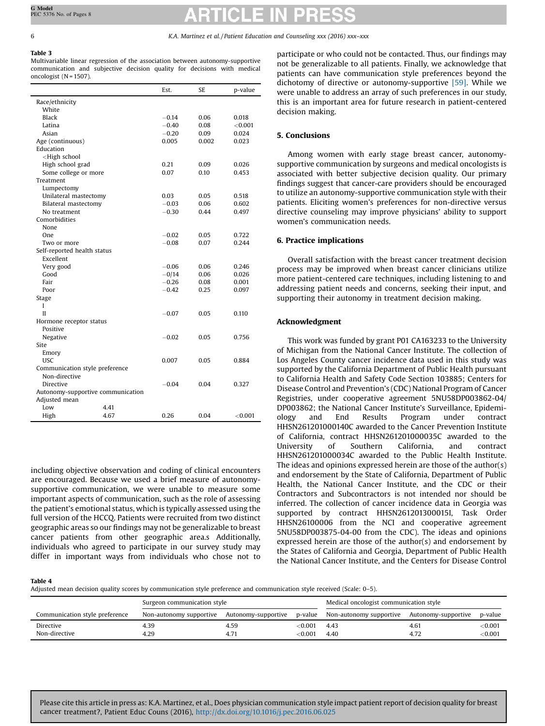# <span id="page-5-0"></span>Table 3

Multivariable linear regression of the association between autonomy-supportive communication and subjective decision quality for decisions with medical oncologist (N = 1507).

|                                                                    |                                   | Est.    | SE    | p-value   |
|--------------------------------------------------------------------|-----------------------------------|---------|-------|-----------|
| Race/ethnicity                                                     |                                   |         |       |           |
| White                                                              |                                   |         |       |           |
| Black                                                              |                                   | $-0.14$ | 0.06  | 0.018     |
| Latina                                                             |                                   | $-0.40$ | 0.08  | < 0.001   |
| Asian                                                              |                                   | $-0.20$ | 0.09  | 0.024     |
| Age (continuous)                                                   |                                   | 0.005   | 0.002 | 0.023     |
| Education                                                          |                                   |         |       |           |
| <high school<="" td=""><td></td><td></td><td></td><td></td></high> |                                   |         |       |           |
| High school grad                                                   |                                   | 0.21    | 0.09  | 0.026     |
| Some college or more                                               |                                   | 0.07    | 0.10  | 0.453     |
| Treatment                                                          |                                   |         |       |           |
| Lumpectomy                                                         |                                   |         |       |           |
| Unilateral mastectomy                                              |                                   | 0.03    | 0.05  | 0.518     |
| Bilateral mastectomy                                               |                                   | $-0.03$ | 0.06  | 0.602     |
| No treatment                                                       |                                   | $-0.30$ | 0.44  | 0.497     |
| Comorbidities                                                      |                                   |         |       |           |
| None                                                               |                                   |         |       |           |
| One                                                                |                                   | $-0.02$ | 0.05  | 0.722     |
| Two or more                                                        |                                   | $-0.08$ | 0.07  | 0.244     |
| Self-reported health status                                        |                                   |         |       |           |
| Excellent                                                          |                                   |         |       |           |
| Very good                                                          |                                   | $-0.06$ | 0.06  | 0.246     |
| Good                                                               |                                   | $-0/14$ | 0.06  | 0.026     |
| Fair                                                               |                                   | $-0.26$ | 0.08  | 0.001     |
| Poor                                                               |                                   | $-0.42$ | 0.25  | 0.097     |
| Stage                                                              |                                   |         |       |           |
| L                                                                  |                                   |         |       |           |
| II                                                                 |                                   | $-0.07$ | 0.05  | 0.110     |
| Hormone receptor status                                            |                                   |         |       |           |
| Positive                                                           |                                   |         |       |           |
| Negative                                                           |                                   | $-0.02$ | 0.05  | 0.756     |
| Site                                                               |                                   |         |       |           |
| Emory                                                              |                                   |         |       |           |
| <b>USC</b>                                                         |                                   | 0.007   | 0.05  | 0.884     |
|                                                                    | Communication style preference    |         |       |           |
| Non-directive                                                      |                                   |         |       |           |
| Directive                                                          |                                   | $-0.04$ | 0.04  | 0.327     |
|                                                                    | Autonomy-supportive communication |         |       |           |
| Adjusted mean                                                      |                                   |         |       |           |
| Low                                                                | 4.41                              |         |       |           |
| High                                                               | 4.67                              | 0.26    | 0.04  | $<$ 0.001 |

including objective observation and coding of clinical encounters are encouraged. Because we used a brief measure of autonomysupportive communication, we were unable to measure some important aspects of communication, such as the role of assessing the patient's emotional status, which is typically assessed using the full version of the HCCQ. Patients were recruited from two distinct geographic areas so our findings may not be generalizable to breast cancer patients from other geographic area.s Additionally, individuals who agreed to participate in our survey study may differ in important ways from individuals who chose not to participate or who could not be contacted. Thus, our findings may not be generalizable to all patients. Finally, we acknowledge that patients can have communication style preferences beyond the dichotomy of directive or autonomy-supportive [\[59\].](#page-7-0) While we were unable to address an array of such preferences in our study, this is an important area for future research in patient-centered decision making.

# 5. Conclusions

Among women with early stage breast cancer, autonomysupportive communication by surgeons and medical oncologists is associated with better subjective decision quality. Our primary findings suggest that cancer-care providers should be encouraged to utilize an autonomy-supportive communication style with their patients. Eliciting women's preferences for non-directive versus directive counseling may improve physicians' ability to support women's communication needs.

# 6. Practice implications

Overall satisfaction with the breast cancer treatment decision process may be improved when breast cancer clinicians utilize more patient-centered care techniques, including listening to and addressing patient needs and concerns, seeking their input, and supporting their autonomy in treatment decision making.

### Acknowledgment

This work was funded by grant P01 CA163233 to the University of Michigan from the National Cancer Institute. The collection of Los Angeles County cancer incidence data used in this study was supported by the California Department of Public Health pursuant to California Health and Safety Code Section 103885; Centers for Disease Control and Prevention's (CDC) National Program of Cancer Registries, under cooperative agreement 5NU58DP003862-04/ DP003862; the National Cancer Institute's Surveillance, Epidemiology and End Results Program under contract HHSN261201000140C awarded to the Cancer Prevention Institute of California, contract HHSN261201000035C awarded to the University of Southern California, and contract HHSN261201000034C awarded to the Public Health Institute. The ideas and opinions expressed herein are those of the author(s) and endorsement by the State of California, Department of Public Health, the National Cancer Institute, and the CDC or their Contractors and Subcontractors is not intended nor should be inferred. The collection of cancer incidence data in Georgia was supported by contract HHSN261201300015I, Task Order HHSN26100006 from the NCI and cooperative agreement 5NU58DP003875-04-00 from the CDC). The ideas and opinions expressed herein are those of the author(s) and endorsement by the States of California and Georgia, Department of Public Health the National Cancer Institute, and the Centers for Disease Control

### Table 4

Adjusted mean decision quality scores by communication style preference and communication style received (Scale: 0–5).

|                                | Surgeon communication style |                     |                  | Medical oncologist communication style |                     |                                  |
|--------------------------------|-----------------------------|---------------------|------------------|----------------------------------------|---------------------|----------------------------------|
| Communication style preference | Non-autonomy supportive     | Autonomy-supportive |                  | p-value Non-autonomy supportive        | Autonomy-supportive | p-value                          |
| Directive<br>Non-directive     | 4.39<br>4.29                | 4.59<br>4.71        | ∈0.001<br>∈0.001 | 4.43<br>4.40                           | 4.61<br>4.72        | $<$ 0.001 $\,$<br>$<$ 0.001 $\,$ |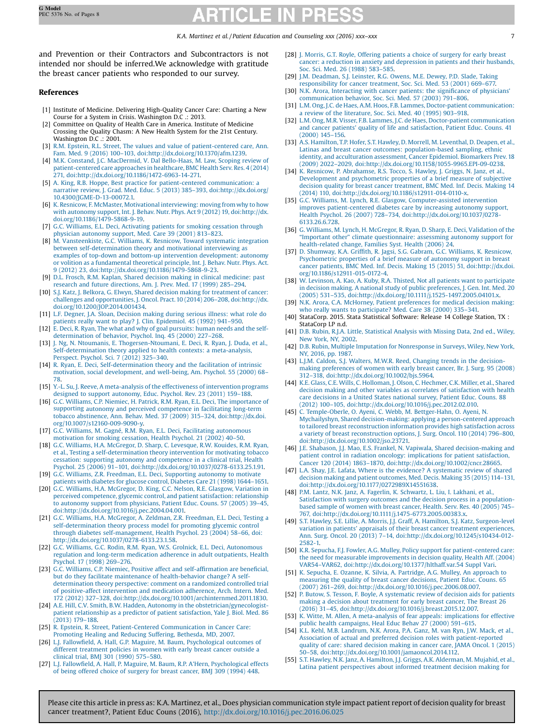<span id="page-6-0"></span>and Prevention or their Contractors and Subcontractors is not intended nor should be inferred.We acknowledge with gratitude the breast cancer patients who responded to our survey.

# References

- [1] Institute of Medicine. Delivering High-Quality Cancer Care: Charting a New Course for a System in Crisis. Washington D.C .: 2013.
- Committee on Quality of Health Care in America. Institute of Medicine Crossing the Quality Chasm: A New Health System for the 21st Century. Washington D.C .: 2001.
- [3] R.M. Epstein, R.L. Street, The values and value of [patient-centered](http://refhub.elsevier.com/S0738-3991(16)30290-7/sbref0015) care, Ann. Fam. Med. 9 (2016) 100–103, [doi:http://dx.doi.org/10.1370/afm.1239.](http://refhub.elsevier.com/S0738-3991(16)30290-7/sbref0015)
- [4] M.K. Constand, J.C. [MacDermid,](http://refhub.elsevier.com/S0738-3991(16)30290-7/sbref0020) V. Dal Bello-Haas, M. Law, Scoping review of [patient-centered](http://refhub.elsevier.com/S0738-3991(16)30290-7/sbref0020) care approaches in healthcare, BMC Health Serv. Res. 4 (2014) 271, [doi:http://dx.doi.org/10.1186/1472-6963-14-271.](http://refhub.elsevier.com/S0738-3991(16)30290-7/sbref0020)
- [5] A. King, R.B. Hoppe, Best practice for [patient-centered](http://refhub.elsevier.com/S0738-3991(16)30290-7/sbref0025) communication: a narrative review, J. Grad. Med. Educ. 5 (2013) 385–393, [doi:http://dx.doi.org/](http://refhub.elsevier.com/S0738-3991(16)30290-7/sbref0025) [10.4300/JGME-D-13-00072.1.](http://dx.doi.org/10.4300/JGME-D-13-00072.1)
- [6] K. Resnicow, F. McMaster, Motivational [interviewing:](http://refhub.elsevier.com/S0738-3991(16)30290-7/sbref0030) moving fromwhy to how with autonomy support, Int. J. Behav. Nutr. Phys. Act 9 (2012) 19, [doi:http://dx.](http://refhub.elsevier.com/S0738-3991(16)30290-7/sbref0030) [doi.org/10.1186/1479-5868-9-19.](http://dx.doi.org/10.1186/1479-5868-9-19)
- [7] G.C. Williams, E.L. Deci, [Activating](http://refhub.elsevier.com/S0738-3991(16)30290-7/sbref0035) patients for smoking cessation through physician [autonomy](http://refhub.elsevier.com/S0738-3991(16)30290-7/sbref0035) support, Med. Care 39 (2001) 813–823.
- [8] M. [Vansteenkiste,](http://refhub.elsevier.com/S0738-3991(16)30290-7/sbref0040) G.C. Williams, K. Resnicow, Toward systematic integration between [self-determination](http://refhub.elsevier.com/S0738-3991(16)30290-7/sbref0040) theory and motivational interviewing as examples of top-down and bottom-up intervention [development:](http://refhub.elsevier.com/S0738-3991(16)30290-7/sbref0040) autonomy or volition as a [fundamental](http://refhub.elsevier.com/S0738-3991(16)30290-7/sbref0040) theoretical principle, Int. J. Behav. Nutr. Phys. Act. 9 (2012) 23, [doi:http://dx.doi.org/10.1186/1479-5868-9-23.](http://refhub.elsevier.com/S0738-3991(16)30290-7/sbref0040)
- [9] D.L. Frosch, R.M. Kaplan, Shared decision making in clinical [medicine:](http://refhub.elsevier.com/S0738-3991(16)30290-7/sbref0045) past research and future [directions,](http://refhub.elsevier.com/S0738-3991(16)30290-7/sbref0045) Am. J. Prev. Med. 17 (1999) 285–294.
- [10] S.J. Katz, J. Belkora, G. Elwyn, Shared decision making for [treatment](http://refhub.elsevier.com/S0738-3991(16)30290-7/sbref0050) of cancer: challenges and [opportunities,](http://refhub.elsevier.com/S0738-3991(16)30290-7/sbref0050) J. Oncol. Pract.10 (2014) 206–208, doi:http://dx. [doi.org/10.1200/JOP.2014.001434.](http://dx.doi.org/10.1200/JOP.2014.001434)
- [11] L.F. Degner, J.A. Sloan, [Decision](http://refhub.elsevier.com/S0738-3991(16)30290-7/sbref0055) making during serious illness: what role do patients really want to play? J. Clin. [Epidemiol.](http://refhub.elsevier.com/S0738-3991(16)30290-7/sbref0055) 45 (1992) 941–950.
- [12] E. Deci, R. Ryan, The what and why of goal [pursuits:](http://refhub.elsevier.com/S0738-3991(16)30290-7/sbref0060) human needs and the self[determination](http://refhub.elsevier.com/S0738-3991(16)30290-7/sbref0060) of behavior, Psychol. Inq. 45 (2000) 227–268.
- J. Ng, N. Ntoumanis, E. [Thogersen-Ntoumani,](http://refhub.elsevier.com/S0738-3991(16)30290-7/sbref0065) E. Deci, R. Ryan, J. Duda, et al., [Self-determination](http://refhub.elsevier.com/S0738-3991(16)30290-7/sbref0065) theory applied to health contexts: a meta-analysis, [Perspect.](http://refhub.elsevier.com/S0738-3991(16)30290-7/sbref0065) Psychol. Sci. 7 (2012) 325–340.
- [14] R. Ryan, E. Deci, [Self-determination](http://refhub.elsevier.com/S0738-3991(16)30290-7/sbref0070) theory and the facilitation of intrinsic motivation, social [development,](http://refhub.elsevier.com/S0738-3991(16)30290-7/sbref0070) and well-being, Am. Psychol. 55 (2000) 68– [78](http://refhub.elsevier.com/S0738-3991(16)30290-7/sbref0070). [15] Y.-L. Su, J. Reeve, A [meta-analysis](http://refhub.elsevier.com/S0738-3991(16)30290-7/sbref0075) of the effectiveness of intervention programs
- designed to support [autonomy,](http://refhub.elsevier.com/S0738-3991(16)30290-7/sbref0075) Educ. Psychol. Rev. 23 (2011) 159–188.
- [16] G.C. Williams, C.P. Niemiec, H. Patrick, R.M. Ryan, E.L. Deci, The [importance](http://refhub.elsevier.com/S0738-3991(16)30290-7/sbref0080) of supporting autonomy and perceived [competence](http://refhub.elsevier.com/S0738-3991(16)30290-7/sbref0080) in facilitating long-term tobacco abstinence, Ann. Behav. Med. 37 (2009) 315–324, [doi:http://dx.doi.](http://refhub.elsevier.com/S0738-3991(16)30290-7/sbref0080) [org/10.1007/s12160-009-9090-y.](http://dx.doi.org/10.1007/s12160-009-9090-y)
- [17] G.C. Williams, M. Gagné, R.M. Ryan, E.L. Deci, Facilitating [autonomous](http://refhub.elsevier.com/S0738-3991(16)30290-7/sbref0085) [motivation](http://refhub.elsevier.com/S0738-3991(16)30290-7/sbref0085) for smoking cessation, Health Psychol. 21 (2002) 40–50.
- [18] G.C. Williams, H.A. [McGregor,](http://refhub.elsevier.com/S0738-3991(16)30290-7/sbref0090) D. Sharp, C. Levesque, R.W. Kouides, R.M. Ryan, et al., Testing a [self-determination](http://refhub.elsevier.com/S0738-3991(16)30290-7/sbref0090) theory intervention for motivating tobacco cessation: supporting autonomy and [competence](http://refhub.elsevier.com/S0738-3991(16)30290-7/sbref0090) in a clinical trial, Health Psychol. 25 (2006) 91–101, [doi:http://dx.doi.org/10.1037/0278-6133.25.1.91.](http://refhub.elsevier.com/S0738-3991(16)30290-7/sbref0090)
- [19] G.C. Williams, Z.R. Freedman, E.L. Deci, [Supporting](http://refhub.elsevier.com/S0738-3991(16)30290-7/sbref0095) autonomy to motivate patients with diabetes for glucose control, [Diabetes](http://refhub.elsevier.com/S0738-3991(16)30290-7/sbref0095) Care 21 (1998) 1644–1651.
- [20] G.C. Williams, H.A. [McGregor,](http://refhub.elsevier.com/S0738-3991(16)30290-7/sbref0100) D. King, C.C. Nelson, R.E. Glasgow, Variation in perceived [competence,](http://refhub.elsevier.com/S0738-3991(16)30290-7/sbref0100) glycemic control, and patient satisfaction: relationship to autonomy support from [physicians,](http://refhub.elsevier.com/S0738-3991(16)30290-7/sbref0100) Patient Educ. Couns. 57 (2005) 39–45, [doi:http://dx.doi.org/10.1016/j.pec.2004.04.001.](http://refhub.elsevier.com/S0738-3991(16)30290-7/sbref0100)
- [21] G.C. Williams, H.A. McGregor, A. Zeldman, Z.R. [Freedman,](http://refhub.elsevier.com/S0738-3991(16)30290-7/sbref0105) E.L. Deci, Testing a [self-determination](http://refhub.elsevier.com/S0738-3991(16)30290-7/sbref0105) theory process model for promoting glycemic control through diabetes [self-management,](http://refhub.elsevier.com/S0738-3991(16)30290-7/sbref0105) Health Psychol. 23 (2004) 58–66, doi: [http://dx.doi.org/10.1037/0278-6133.23.1.58.](http://dx.doi.org/10.1037/0278-6133.23.1.58)
- [22] G.C. Williams, G.C. Rodin, R.M. Ryan, W.S. Grolnick, E.L. Deci, [Autonomous](http://refhub.elsevier.com/S0738-3991(16)30290-7/sbref0110) regulation and long-term medication adherence in adult [outpatients,](http://refhub.elsevier.com/S0738-3991(16)30290-7/sbref0110) Health [Psychol.](http://refhub.elsevier.com/S0738-3991(16)30290-7/sbref0110) 17 (1998) 269–276.
- [23] G.C. [Williams,](http://refhub.elsevier.com/S0738-3991(16)30290-7/sbref0115) C.P. Niemiec, Positive affect and self-affirmation are beneficial, but do they facilitate maintenance of [health-behavior](http://refhub.elsevier.com/S0738-3991(16)30290-7/sbref0115) change? A self[determination](http://refhub.elsevier.com/S0738-3991(16)30290-7/sbref0115) theory perspective: comment on a randomized controlled trial of [positive-affect](http://refhub.elsevier.com/S0738-3991(16)30290-7/sbref0115) intervention and medication adherence, Arch. Intern. Med. 172 (2012) 327–328, [doi:http://dx.doi.org/10.1001/archinternmed.2011.1830.](http://refhub.elsevier.com/S0738-3991(16)30290-7/sbref0115)
- [24] A.E. Hill, C.V. Smith, B.W. Hadden, Autonomy in the [obstetrician/gynecologist](http://refhub.elsevier.com/S0738-3991(16)30290-7/sbref0120)patient [relationship](http://refhub.elsevier.com/S0738-3991(16)30290-7/sbref0120) as a predictor of patient satisfaction, Yale J. Biol. Med. 86 [\(2013\)](http://refhub.elsevier.com/S0738-3991(16)30290-7/sbref0120) 179–188.
- [25] R. Epstein, R. Street, [Patient-Centered](http://refhub.elsevier.com/S0738-3991(16)30290-7/sbref0125) Communication in Cancer Care: [Promoting](http://refhub.elsevier.com/S0738-3991(16)30290-7/sbref0125) Healing and Reducing Suffering, Bethesda, MD, 2007.
- [26] L.J. Fallowfield, A. Hall, G.P. Maguire, M. Baum, [Psychological](http://refhub.elsevier.com/S0738-3991(16)30290-7/sbref0130) outcomes of different [treatment](http://refhub.elsevier.com/S0738-3991(16)30290-7/sbref0130) policies in women with early breast cancer outside a [clinical](http://refhub.elsevier.com/S0738-3991(16)30290-7/sbref0130) trial, BMJ 301 (1990) 575–580.
- [27] L.J. Fallowfield, A. Hall, P. Maguire, M. Baum, R.P. A'Hern, [Psychological](http://refhub.elsevier.com/S0738-3991(16)30290-7/sbref0135) effects of being offered choice of [surgery](http://refhub.elsevier.com/S0738-3991(16)30290-7/sbref0135) for breast cancer, BMJ 309 (1994) 448.
- [28] J. Morris, G.T. Royle, [Offering](http://refhub.elsevier.com/S0738-3991(16)30290-7/sbref0140) patients a choice of surgery for early breast cancer: a reduction in anxiety and [depression](http://refhub.elsevier.com/S0738-3991(16)30290-7/sbref0140) in patients and their husbands, Soc. Sci. Med. 26 [\(1988\)](http://refhub.elsevier.com/S0738-3991(16)30290-7/sbref0140) 583–585.
- [29] J.M. [Deadman,](http://refhub.elsevier.com/S0738-3991(16)30290-7/sbref0145) S.J. Leinster, R.G. Owens, M.E. Dewey, P.D. Slade, Taking [responsibility](http://refhub.elsevier.com/S0738-3991(16)30290-7/sbref0145) for cancer treatment, Soc. Sci. Med. 53 (2001) 669–677.
- [30] N.K. Arora, [Interacting](http://refhub.elsevier.com/S0738-3991(16)30290-7/sbref0150) with cancer patients: the significance of physicians' [communication](http://refhub.elsevier.com/S0738-3991(16)30290-7/sbref0150) behavior, Soc. Sci. Med. 57 (2003) 791–806.
- [31] L.M. Ong, J.C. de Haes, A.M. Hoos, F.B. Lammes, Doctor-patient [communication:](http://refhub.elsevier.com/S0738-3991(16)30290-7/sbref0155) a review of the [literature,](http://refhub.elsevier.com/S0738-3991(16)30290-7/sbref0155) Soc. Sci. Med. 40 (1995) 903–918.
- [32] L.M. Ong, M.R. Visser, F.B. Lammes, J.C. de Haes, Doctor-patient [communication](http://refhub.elsevier.com/S0738-3991(16)30290-7/sbref0160) and cancer patients' quality of life and [satisfaction,](http://refhub.elsevier.com/S0738-3991(16)30290-7/sbref0160) Patient Educ. Couns. 41 [\(2000\)](http://refhub.elsevier.com/S0738-3991(16)30290-7/sbref0160) 145–156.
- [33] A.S. Hamilton, T.P. Hofer, S.T. Hawley, D. Morrell, M. [Leventhal,](http://refhub.elsevier.com/S0738-3991(16)30290-7/sbref0165) D. Deapen, et al., Latinas and breast cancer outcomes: [population-based](http://refhub.elsevier.com/S0738-3991(16)30290-7/sbref0165) sampling, ethnic identity, and [acculturation](http://refhub.elsevier.com/S0738-3991(16)30290-7/sbref0165) assessment, Cancer Epidemiol. Biomarkers Prev. 18 (2009) 2022–2029, [doi:http://dx.doi.org/10.1158/1055-9965.EPI-09-0238.](http://refhub.elsevier.com/S0738-3991(16)30290-7/sbref0165)
- [34] K. Resnicow, P. [Abrahamse,](http://refhub.elsevier.com/S0738-3991(16)30290-7/sbref0170) R.S. Tocco, S. Hawley, J. Griggs, N. Janz, et al., Development and [psychometric](http://refhub.elsevier.com/S0738-3991(16)30290-7/sbref0170) properties of a brief measure of subjective decision quality for breast cancer [treatment,](http://refhub.elsevier.com/S0738-3991(16)30290-7/sbref0170) BMC Med. Inf. Decis. Making 14 (2014) 110, [doi:http://dx.doi.org/10.1186/s12911-014-0110-x.](http://refhub.elsevier.com/S0738-3991(16)30290-7/sbref0170)
- [35] G.C. Williams, M. Lynch, R.E. Glasgow, [Computer-assisted](http://refhub.elsevier.com/S0738-3991(16)30290-7/sbref0175) intervention improves [patient-centered](http://refhub.elsevier.com/S0738-3991(16)30290-7/sbref0175) diabetes care by increasing autonomy support, Health Psychol. 26 (2007) 728–734, [doi:http://dx.doi.org/10.1037/0278-](http://refhub.elsevier.com/S0738-3991(16)30290-7/sbref0175) [6133.26.6.728.](http://dx.doi.org/10.1037/0278-6133.26.6.728)
- [36] G. Williams, M. Lynch, H. McGregor, R. Ryan, D. Sharp, E. Deci, [Validation](http://refhub.elsevier.com/S0738-3991(16)30290-7/sbref0180) of the "Important other" climate [questionnaire:](http://refhub.elsevier.com/S0738-3991(16)30290-7/sbref0180) assessming autonomy support for [health-related](http://refhub.elsevier.com/S0738-3991(16)30290-7/sbref0180) change, Families Syst. Health (2006) 24.
- [37] D. [Shumway,](http://refhub.elsevier.com/S0738-3991(16)30290-7/sbref0185) K.A. Griffith, R. Jagsi, S.G. Gabram, G.C. Williams, K. Resnicow, [Psychometric](http://refhub.elsevier.com/S0738-3991(16)30290-7/sbref0185) properties of a brief measure of autonomy support in breast cancer patients, BMC Med. Inf. Decis. Making 15 (2015) 51, [doi:http://dx.doi.](http://refhub.elsevier.com/S0738-3991(16)30290-7/sbref0185) [org/10.1186/s12911-015-0172-4.](http://dx.doi.org/10.1186/s12911-015-0172-4)
- [38] W. Levinson, A. Kao, A. Kuby, R.A. Thisted, Not all patients want to [participate](http://refhub.elsevier.com/S0738-3991(16)30290-7/sbref0190) in decision making. A national study of public [preferences,](http://refhub.elsevier.com/S0738-3991(16)30290-7/sbref0190) J. Gen. Int. Med. 20 (2005) 531–535, [doi:http://dx.doi.org/10.1111/j.1525-1497.2005.04101.x.](http://refhub.elsevier.com/S0738-3991(16)30290-7/sbref0190)
- [39] N.K. Arora, C.A. McHorney, Patient [preferences](http://refhub.elsevier.com/S0738-3991(16)30290-7/sbref0195) for medical decision making: who really wants to [participate?](http://refhub.elsevier.com/S0738-3991(16)30290-7/sbref0195) Med. Care 38 (2000) 335–341.
- [40] StataCorp. 2015. Stata Statistical Software: Release 14 College Station, TX : StataCorp LP n.d.
- [41] D.B. Rubin, R.J.A. Little, [Statistical](http://refhub.elsevier.com/S0738-3991(16)30290-7/sbref0205) Analysis with Missing Data, 2nd ed., Wiley, New York, NY, [2002.](http://refhub.elsevier.com/S0738-3991(16)30290-7/sbref0205)
- [42] D.B. Rubin, Multiple Imputation for [Nonresponse](http://refhub.elsevier.com/S0738-3991(16)30290-7/sbref0210) in Surveys, Wiley, New York, NY, [2016,](http://refhub.elsevier.com/S0738-3991(16)30290-7/sbref0210) pp. 1987.
- [43] L.J.M. Caldon, S.J. Walters, M.W.R. Reed, [Changing](http://refhub.elsevier.com/S0738-3991(16)30290-7/sbref0215) trends in the decisionmaking [preferences](http://refhub.elsevier.com/S0738-3991(16)30290-7/sbref0215) of women with early breast cancer, Br. J. Surg. 95 (2008) 312–318, [doi:http://dx.doi.org/10.1002/bjs.5964.](http://refhub.elsevier.com/S0738-3991(16)30290-7/sbref0215)
- [44] K.E. Glass, C.E. Wills, C. [Holloman,](http://refhub.elsevier.com/S0738-3991(16)30290-7/sbref0220) J. Olson, C. Hechmer, C.K. Miller, et al., Shared decision making and other variables as correlates of [satisfaction](http://refhub.elsevier.com/S0738-3991(16)30290-7/sbref0220) with health care [decisions](http://refhub.elsevier.com/S0738-3991(16)30290-7/sbref0220) in a United States national survey, Patient Educ. Couns. 88 (2012) 100–105, [doi:http://dx.doi.org/10.1016/j.pec.2012.02.010.](http://refhub.elsevier.com/S0738-3991(16)30290-7/sbref0220)
- [45] C. [Temple-Oberle,](http://refhub.elsevier.com/S0738-3991(16)30290-7/sbref0225) O. Ayeni, C. Webb, M. Bettger-Hahn, O. Ayeni, N. Mychailyshyn, Shared [decision-making:](http://refhub.elsevier.com/S0738-3991(16)30290-7/sbref0225) applying a person-centered approach to tailored breast [reconstruction](http://refhub.elsevier.com/S0738-3991(16)30290-7/sbref0225) information provides high satisfaction across a variety of breast [reconstruction](http://refhub.elsevier.com/S0738-3991(16)30290-7/sbref0225) options, J. Surg. Oncol. 110 (2014) 796–800, [doi:http://dx.doi.org/10.1002/jso.23721.](http://refhub.elsevier.com/S0738-3991(16)30290-7/sbref0225)
- [46] J.E. Shabason, J.J. Mao, E.S. Frankel, N. Vapiwala, Shared [decision-making](http://refhub.elsevier.com/S0738-3991(16)30290-7/sbref0230) and patient control in radiation oncology: [implications](http://refhub.elsevier.com/S0738-3991(16)30290-7/sbref0230) for patient satisfaction, Cancer 120 (2014) 1863–1870, [doi:http://dx.doi.org/10.1002/cncr.28665.](http://refhub.elsevier.com/S0738-3991(16)30290-7/sbref0230)
- [47] L.A. Shay, J.E. Lafata, Where is the evidence? A [systematic](http://refhub.elsevier.com/S0738-3991(16)30290-7/sbref0235) review of shared decision making and patient [outcomes,](http://refhub.elsevier.com/S0738-3991(16)30290-7/sbref0235) Med. Decis. Making 35 (2015) 114–131, [doi:http://dx.doi.org/10.1177/0272989X14551638.](http://refhub.elsevier.com/S0738-3991(16)30290-7/sbref0235)
- [48] P.M. Lantz, N.K. Janz, A. Fagerlin, K. [Schwartz,](http://refhub.elsevier.com/S0738-3991(16)30290-7/sbref0240) L. Liu, I. Lakhani, et al., Satisfaction with surgery outcomes and the decision process in a [population](http://refhub.elsevier.com/S0738-3991(16)30290-7/sbref0240)based sample of [women](http://refhub.elsevier.com/S0738-3991(16)30290-7/sbref0240) with breast cancer, Health. Serv. Res. 40 (2005) 745– 767, [doi:http://dx.doi.org/10.1111/j.1475-6773.2005.00383.x.](http://refhub.elsevier.com/S0738-3991(16)30290-7/sbref0240)
- [49] S.T. Hawley, S.E. Lillie, A. Morris, J.J. Graff, A. Hamilton, S.J. Katz, [Surgeon-level](http://refhub.elsevier.com/S0738-3991(16)30290-7/sbref0245) variation in patients' appraisals of their breast cancer treatment [experiences,](http://refhub.elsevier.com/S0738-3991(16)30290-7/sbref0245) Ann. Surg. Oncol. 20 (2013) 7–14, [doi:http://dx.doi.org/10.1245/s10434-012-](http://refhub.elsevier.com/S0738-3991(16)30290-7/sbref0245) [2582-1.](http://dx.doi.org/10.1245/s10434-012-2582-1)
- [50] K.R. Sepucha, F.J. Fowler, A.G. Mulley, Policy support for [patient-centered](http://refhub.elsevier.com/S0738-3991(16)30290-7/sbref0250) care: the need for measurable [improvements](http://refhub.elsevier.com/S0738-3991(16)30290-7/sbref0250) in decision quality, Health Aff. (2004) VAR54–VAR62, [doi:http://dx.doi.org/10.1377/hlthaff.var.54](http://refhub.elsevier.com/S0738-3991(16)30290-7/sbref0250) Suppl Vari.
- [51] K. Sepucha, E. Ozanne, K. Silvia, A. [Partridge,](http://refhub.elsevier.com/S0738-3991(16)30290-7/sbref0255) A.G. Mulley, An approach to [measuring](http://refhub.elsevier.com/S0738-3991(16)30290-7/sbref0255) the quality of breast cancer decisions, Patient Educ. Couns. 65 (2007) 261–269, [doi:http://dx.doi.org/10.1016/j.pec.2006.08.007.](http://refhub.elsevier.com/S0738-3991(16)30290-7/sbref0255)
- [52] P. Butow, S. Tesson, F. Boyle, A [systematic](http://refhub.elsevier.com/S0738-3991(16)30290-7/sbref0260) review of decision aids for patients making a decision about [treatment](http://refhub.elsevier.com/S0738-3991(16)30290-7/sbref0260) for early breast cancer, The Breast 26 (2016) 31–45, [doi:http://dx.doi.org/10.1016/j.breast.2015.12.007.](http://refhub.elsevier.com/S0738-3991(16)30290-7/sbref0260)
- [53] K. Witte, M. Allen, A [meta-analysis](http://refhub.elsevier.com/S0738-3991(16)30290-7/sbref0265) of fear appeals: implications for effective public health [campaigns,](http://refhub.elsevier.com/S0738-3991(16)30290-7/sbref0265) Heal Educ Behav 27 (2000) 591–615.
- [54] K.L. Kehl, M.B. [Landrum,](http://refhub.elsevier.com/S0738-3991(16)30290-7/sbref0270) N.K. Arora, P.A. Ganz, M. van Ryn, J.W. Mack, et al., Association of actual and preferred decision roles with [patient-reported](http://refhub.elsevier.com/S0738-3991(16)30290-7/sbref0270) quality of care: shared [decision](http://refhub.elsevier.com/S0738-3991(16)30290-7/sbref0270) making in cancer care, JAMA Oncol. 1 (2015) 50–58, [doi:http://dx.doi.org/10.1001/jamaoncol.2014.112.](http://refhub.elsevier.com/S0738-3991(16)30290-7/sbref0270)
- [55] S.T. Hawley, N.K. Janz, A. Hamilton, J.J. Griggs, A.K. [Alderman,](http://refhub.elsevier.com/S0738-3991(16)30290-7/sbref0275) M. Mujahid, et al., Latina patient [perspectives](http://refhub.elsevier.com/S0738-3991(16)30290-7/sbref0275) about informed treatment decision making for